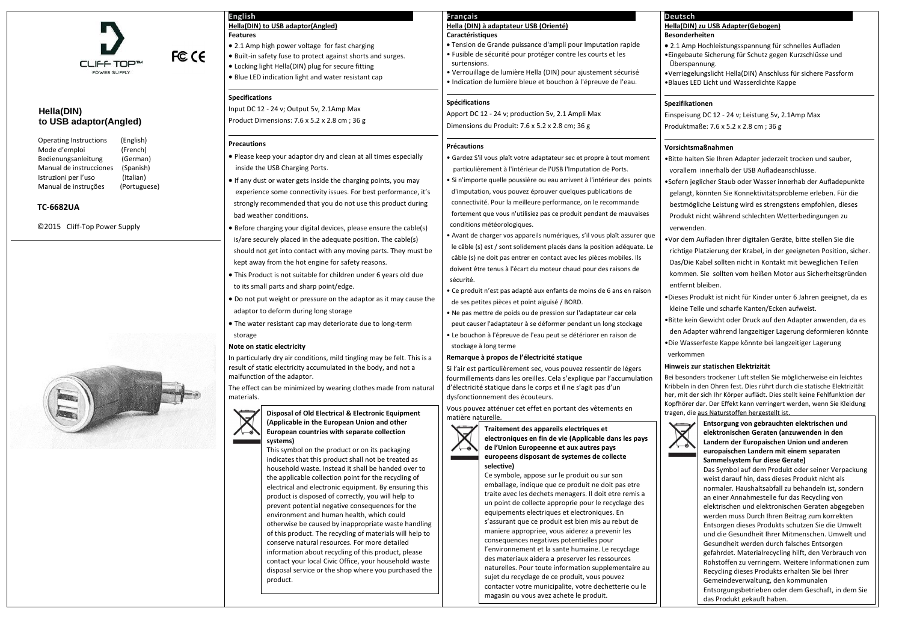

FCC CE

# **Hella(DIN) to USB adaptor(Angled)**

| <b>Operating Instructions</b> | (English)    |
|-------------------------------|--------------|
| Mode d'emploi                 | (French)     |
| Bedienungsanleitung           | (German)     |
| Manual de instrucciones       | (Spanish)    |
| Istruzioni per l'uso          | (Italian)    |
| Manual de instruções          | (Portuguese) |
|                               |              |

## **TC-6682UA**

©2015 Cliff-Top Power Supply



Bei besonders trockener Luft stellen Sie möglicherweise ein leichtes Kribbeln in den Ohren fest. Dies rührt durch die statische Elektrizität her, mit der sich Ihr Körper auflädt. Dies stellt keine Fehlfunktion der Kopfhörer dar. Der Effekt kann verringert werden, wenn Sie Kleidung **Product Classifical Classifical Electrical Annual Electric Classifical Annual Electric Classifical Electronic E** 



| <b>English</b>                                                                               | Français                                                                                                     |  |
|----------------------------------------------------------------------------------------------|--------------------------------------------------------------------------------------------------------------|--|
| <b>Hella(DIN) to USB adaptor(Angled)</b>                                                     | Hella (DIN) à adaptateur USB (Orienté)                                                                       |  |
| <b>Features</b>                                                                              | Caractéristiques                                                                                             |  |
| • 2.1 Amp high power voltage for fast charging                                               | . Tension de Grande puissance d'ampli pour Imputation rapide                                                 |  |
| . Built-in safety fuse to protect against shorts and surges.                                 | · Fusible de sécurité pour protéger contre les courts et les<br>surtensions.                                 |  |
| • Locking light Hella(DIN) plug for secure fitting                                           | · Verrouillage de lumière Hella (DIN) pour ajustement sécurisé                                               |  |
| • Blue LED indication light and water resistant cap                                          | · Indication de lumière bleue et bouchon à l'épreuve de l'eau.                                               |  |
| <b>Specifications</b>                                                                        | Spécifications                                                                                               |  |
| Input DC 12 - 24 v; Output 5v, 2.1Amp Max                                                    | Apport DC 12 - 24 v; production 5v, 2.1 Ampli Max                                                            |  |
| Product Dimensions: 7.6 x 5.2 x 2.8 cm; 36 g                                                 | Dimensions du Produit: 7.6 x 5.2 x 2.8 cm; 36 g                                                              |  |
| <b>Precautions</b>                                                                           | <b>Précautions</b>                                                                                           |  |
| • Please keep your adaptor dry and clean at all times especially                             | · Gardez S'il vous plaît votre adaptateur sec et propre à tout moment                                        |  |
| inside the USB Charging Ports.                                                               | particulièrement à l'intérieur de l'USB l'Imputation de Ports.                                               |  |
| • If any dust or water gets inside the charging points, you may                              | · Si n'importe quelle poussière ou eau arrivent à l'intérieur des points                                     |  |
| experience some connectivity issues. For best performance, it's                              | d'imputation, vous pouvez éprouver quelques publications de                                                  |  |
| strongly recommended that you do not use this product during                                 | connectivité. Pour la meilleure performance, on le recommande                                                |  |
|                                                                                              | fortement que vous n'utilisiez pas ce produit pendant de mauvaises                                           |  |
| bad weather conditions.                                                                      | conditions météorologiques.                                                                                  |  |
| • Before charging your digital devices, please ensure the cable(s)                           | · Avant de charger vos appareils numériques, s'il vous plaît assurer que                                     |  |
| is/are securely placed in the adequate position. The cable(s)                                | le câble (s) est / sont solidement placés dans la position adéquate. Le                                      |  |
| should not get into contact with any moving parts. They must be                              | câble (s) ne doit pas entrer en contact avec les pièces mobiles. Ils                                         |  |
| kept away from the hot engine for safety reasons.                                            | doivent être tenus à l'écart du moteur chaud pour des raisons de                                             |  |
| . This Product is not suitable for children under 6 years old due                            | sécurité.                                                                                                    |  |
| to its small parts and sharp point/edge.                                                     | • Ce produit n'est pas adapté aux enfants de moins de 6 ans en raison                                        |  |
| • Do not put weight or pressure on the adaptor as it may cause the                           | de ses petites pièces et point aiguisé / BORD.                                                               |  |
| adaptor to deform during long storage                                                        | . Ne pas mettre de poids ou de pression sur l'adaptateur car cela                                            |  |
| . The water resistant cap may deteriorate due to long-term                                   | peut causer l'adaptateur à se déformer pendant un long stockage                                              |  |
| storage                                                                                      | · Le bouchon à l'épreuve de l'eau peut se détériorer en raison de                                            |  |
| Note on static electricity                                                                   | stockage à long terme                                                                                        |  |
| In particularly dry air conditions, mild tingling may be felt. This is a                     | Remarque à propos de l'électricité statique                                                                  |  |
| result of static electricity accumulated in the body, and not a                              | Si l'air est particulièrement sec, vous pouvez ressentir de légers                                           |  |
| malfunction of the adaptor.                                                                  | fourmillements dans les oreilles. Cela s'explique par l'accumulation                                         |  |
| The effect can be minimized by wearing clothes made from natural                             | d'électricité statique dans le corps et il ne s'agit pas d'un                                                |  |
| materials.                                                                                   | dysfonctionnement des écouteurs.                                                                             |  |
| <b>Disposal of Old Electrical &amp; Electronic Equipment</b>                                 | Vous pouvez atténuer cet effet en portant des vêtements en<br>matière naturelle.                             |  |
| (Applicable in the European Union and other                                                  | Traitement des appareils electriques et                                                                      |  |
| European countries with separate collection                                                  | electroniques en fin de vie (Applicable dans les pays                                                        |  |
| systems)<br>This symbol on the product or on its packaging                                   | de l'Union Europeenne et aux autres pays                                                                     |  |
| indicates that this product shall not be treated as                                          | europeens disposant de systemes de collecte                                                                  |  |
| household waste. Instead it shall be handed over to                                          | selective)                                                                                                   |  |
| the applicable collection point for the recycling of                                         | Ce symbole, appose sur le produit ou sur son                                                                 |  |
| electrical and electronic equipment. By ensuring this                                        | emballage, indique que ce produit ne doit pas etre<br>traite avec les dechets menagers. Il doit etre remis a |  |
| product is disposed of correctly, you will help to                                           | un point de collecte approprie pour le recyclage des                                                         |  |
| prevent potential negative consequences for the<br>environment and human health, which could | equipements electriques et electroniques. En                                                                 |  |
| otherwise be caused by inappropriate waste handling                                          | s'assurant que ce produit est bien mis au rebut de                                                           |  |
| of this product. The recycling of materials will help to                                     | maniere appropriee, vous aiderez a prevenir les                                                              |  |
| conserve natural resources. For more detailed                                                | consequences negatives potentielles pour                                                                     |  |
| information about recycling of this product please                                           | l'environnement et la sante humaine. Le recyclage                                                            |  |

#### **Hella(DIN) zu USB Adapter(Gebogen) Besonderheiten**

 2.1 Amp Hochleistungsspannung für schnelles Aufladen •Eingebaute Sicherung für Schutz gegen Kurzschlüsse und Überspannung.

•Verriegelungslicht Hella(DIN) Anschluss für sichere Passform •Blaues LED Licht und Wasserdichte Kappe

#### **Spezifikationen**

Einspeisung DC 12 - 24 v; Leistung 5v, 2.1Amp Max Produktmaße: 7.6 x 5.2 x 2.8 cm ; 36 g

#### **Vorsichtsmaßnahmen**

•Bitte halten Sie Ihren Adapter jederzeit trocken und sauber, vorallem innerhalb der USB Aufladeanschlüsse.

•Sofern jeglicher Staub oder Wasser innerhab der Aufladepunkte gelangt, könnten Sie Konnektivitätsprobleme erleben. Für die bestmögliche Leistung wird es strengstens empfohlen, dieses Produkt nicht während schlechten Wetterbedingungen zu verwenden.

•Vor dem Aufladen Ihrer digitalen Geräte, bitte stellen Sie die richtige Platzierung der Krabel, in der geeigneten Position, sicher. Das/Die Kabel sollten nicht in Kontakt mit beweglichen Teilen kommen. Sie sollten vom heißen Motor aus Sicherheitsgründen entfernt bleiben.

•Dieses Produkt ist nicht für Kinder unter 6 Jahren geeignet, da es kleine Teile und scharfe Kanten/Ecken aufweist.

•Bitte kein Gewicht oder Druck auf den Adapter anwenden, da es den Adapter während langzeitiger Lagerung deformieren könnte •Die Wasserfeste Kappe könnte bei langzeitiger Lagerung verkommen

## **Hinweis zur statischen Elektrizität**

information about recycling of this product, please contact your local Civic Office, your household waste disposal service or the shop where you purchased the

product.

## Deutsch

des materiaux aidera a preserver les ressources naturelles. Pour toute information supplementaire au

sujet du recyclage de ce produit, vous pouvez contacter votre municipalite, votre dechetterie ou le

magasin ou vous avez achete le produit.

**Entsorgung von gebrauchten elektrischen und elektronischen Geraten (anzuwenden in den Landern der Europaischen Union und anderen europaischen Landern mit einem separaten Sammelsystem fur diese Gerate)**

Das Symbol auf dem Produkt oder seiner Verpackung weist darauf hin, dass dieses Produkt nicht als normaler. Haushaltsabfall zu behandeln ist, sondern an einer Annahmestelle fur das Recycling von elektrischen und elektronischen Geraten abgegeben werden muss Durch Ihren Beitrag zum korrekten Entsorgen dieses Produkts schutzen Sie die Umwelt und die Gesundheit Ihrer Mitmenschen. Umwelt und Gesundheit werden durch falsches Entsorgen gefahrdet. Materialrecycling hilft, den Verbrauch von Rohstoffen zu verringern. Weitere Informationen zum Recycling dieses Produkts erhalten Sie bei Ihrer Gemeindeverwaltung, den kommunalen Entsorgungsbetrieben oder dem Geschaft, in dem Sie das Produkt gekauft haben.